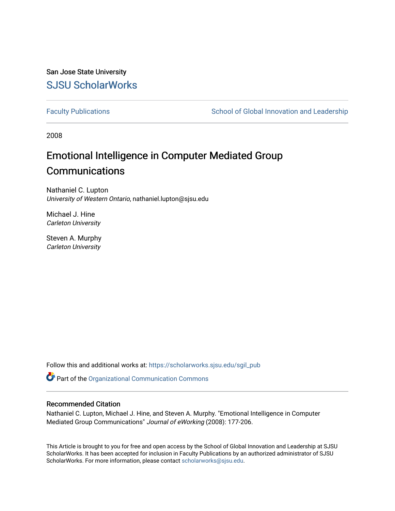San Jose State University [SJSU ScholarWorks](https://scholarworks.sjsu.edu/) 

[Faculty Publications](https://scholarworks.sjsu.edu/sgil_pub) **School of Global Innovation and Leadership** School of Global Innovation and Leadership

2008

# Emotional Intelligence in Computer Mediated Group **Communications**

Nathaniel C. Lupton University of Western Ontario, nathaniel.lupton@sjsu.edu

Michael J. Hine Carleton University

Steven A. Murphy Carleton University

Follow this and additional works at: [https://scholarworks.sjsu.edu/sgil\\_pub](https://scholarworks.sjsu.edu/sgil_pub?utm_source=scholarworks.sjsu.edu%2Fsgil_pub%2F17&utm_medium=PDF&utm_campaign=PDFCoverPages) 

Part of the [Organizational Communication Commons](http://network.bepress.com/hgg/discipline/335?utm_source=scholarworks.sjsu.edu%2Fsgil_pub%2F17&utm_medium=PDF&utm_campaign=PDFCoverPages)

#### Recommended Citation

Nathaniel C. Lupton, Michael J. Hine, and Steven A. Murphy. "Emotional Intelligence in Computer Mediated Group Communications" Journal of eWorking (2008): 177-206.

This Article is brought to you for free and open access by the School of Global Innovation and Leadership at SJSU ScholarWorks. It has been accepted for inclusion in Faculty Publications by an authorized administrator of SJSU ScholarWorks. For more information, please contact [scholarworks@sjsu.edu](mailto:scholarworks@sjsu.edu).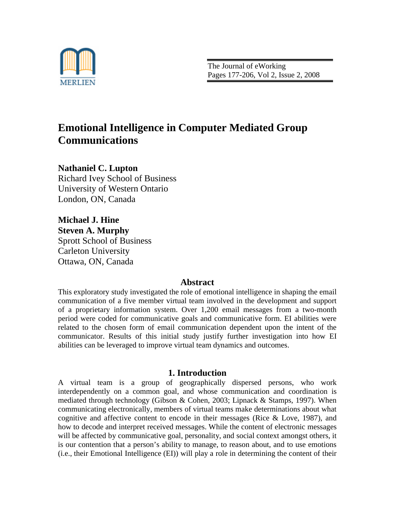

The Journal of eWorking Pages 177-206, Vol 2, Issue 2, 2008

# **Emotional Intelligence in Computer Mediated Group Communications**

**Nathaniel C. Lupton** Richard Ivey School of Business University of Western Ontario London, ON, Canada

**Michael J. Hine Steven A. Murphy** Sprott School of Business Carleton University Ottawa, ON, Canada

## **Abstract**

This exploratory study investigated the role of emotional intelligence in shaping the email communication of a five member virtual team involved in the development and support of a proprietary information system. Over 1,200 email messages from a two-month period were coded for communicative goals and communicative form. EI abilities were related to the chosen form of email communication dependent upon the intent of the communicator. Results of this initial study justify further investigation into how EI abilities can be leveraged to improve virtual team dynamics and outcomes.

# **1. Introduction**

A virtual team is a group of geographically dispersed persons, who work interdependently on a common goal, and whose communication and coordination is mediated through technology (Gibson & Cohen, 2003; Lipnack & Stamps, 1997). When communicating electronically, members of virtual teams make determinations about what cognitive and affective content to encode in their messages (Rice & Love, 1987), and how to decode and interpret received messages. While the content of electronic messages will be affected by communicative goal, personality, and social context amongst others, it is our contention that a person's ability to manage, to reason about, and to use emotions (i.e., their Emotional Intelligence (EI)) will play a role in determining the content of their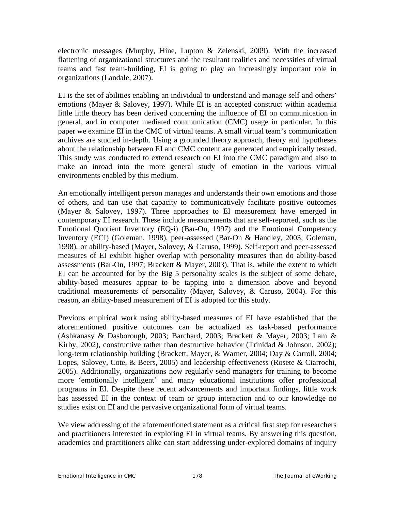electronic messages (Murphy, Hine, Lupton & Zelenski, 2009). With the increased flattening of organizational structures and the resultant realities and necessities of virtual teams and fast team-building, EI is going to play an increasingly important role in organizations (Landale, 2007).

EI is the set of abilities enabling an individual to understand and manage self and others' emotions (Mayer & Salovey, 1997). While EI is an accepted construct within academia little little theory has been derived concerning the influence of EI on communication in general, and in computer mediated communication (CMC) usage in particular. In this paper we examine EI in the CMC of virtual teams. A small virtual team's communication archives are studied in-depth. Using a grounded theory approach, theory and hypotheses about the relationship between EI and CMC content are generated and empirically tested. This study was conducted to extend research on EI into the CMC paradigm and also to make an inroad into the more general study of emotion in the various virtual environments enabled by this medium.

An emotionally intelligent person manages and understands their own emotions and those of others, and can use that capacity to communicatively facilitate positive outcomes (Mayer & Salovey, 1997). Three approaches to EI measurement have emerged in contemporary EI research. These include measurements that are self-reported, such as the Emotional Quotient Inventory (EQ-i) (Bar-On, 1997) and the Emotional Competency Inventory (ECI) (Goleman, 1998), peer-assessed (Bar-On & Handley, 2003; Goleman, 1998), or ability-based (Mayer, Salovey, & Caruso, 1999). Self-report and peer-assessed measures of EI exhibit higher overlap with personality measures than do ability-based assessments (Bar-On, 1997; Brackett & Mayer, 2003). That is, while the extent to which EI can be accounted for by the Big 5 personality scales is the subject of some debate, ability-based measures appear to be tapping into a dimension above and beyond traditional measurements of personality (Mayer, Salovey, & Caruso, 2004). For this reason, an ability-based measurement of EI is adopted for this study.

Previous empirical work using ability-based measures of EI have established that the aforementioned positive outcomes can be actualized as task-based performance (Ashkanasy & Dasborough, 2003; Barchard, 2003; Brackett & Mayer, 2003; Lam & Kirby, 2002), constructive rather than destructive behavior (Trinidad & Johnson, 2002); long-term relationship building (Brackett, Mayer, & Warner, 2004; Day & Carroll, 2004; Lopes, Salovey, Cote, & Beers, 2005) and leadership effectiveness (Rosete & Ciarrochi, 2005). Additionally, organizations now regularly send managers for training to become more 'emotionally intelligent' and many educational institutions offer professional programs in EI. Despite these recent advancements and important findings, little work has assessed EI in the context of team or group interaction and to our knowledge no studies exist on EI and the pervasive organizational form of virtual teams.

We view addressing of the aforementioned statement as a critical first step for researchers and practitioners interested in exploring EI in virtual teams. By answering this question, academics and practitioners alike can start addressing under-explored domains of inquiry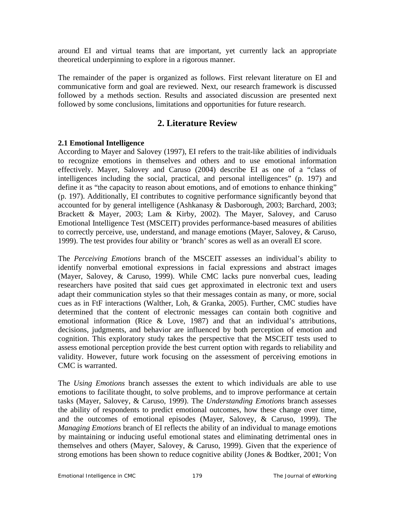around EI and virtual teams that are important, yet currently lack an appropriate theoretical underpinning to explore in a rigorous manner.

The remainder of the paper is organized as follows. First relevant literature on EI and communicative form and goal are reviewed. Next, our research framework is discussed followed by a methods section. Results and associated discussion are presented next followed by some conclusions, limitations and opportunities for future research.

# **2. Literature Review**

### **2.1 Emotional Intelligence**

According to Mayer and Salovey (1997), EI refers to the trait-like abilities of individuals to recognize emotions in themselves and others and to use emotional information effectively. Mayer, Salovey and Caruso (2004) describe EI as one of a "class of intelligences including the social, practical, and personal intelligences" (p. 197) and define it as "the capacity to reason about emotions, and of emotions to enhance thinking" (p. 197). Additionally, EI contributes to cognitive performance significantly beyond that accounted for by general intelligence (Ashkanasy & Dasborough, 2003; Barchard, 2003; Brackett & Mayer, 2003; Lam & Kirby, 2002). The Mayer, Salovey, and Caruso Emotional Intelligence Test (MSCEIT) provides performance-based measures of abilities to correctly perceive, use, understand, and manage emotions (Mayer, Salovey, & Caruso, 1999). The test provides four ability or 'branch' scores as well as an overall EI score.

The *Perceiving Emotions* branch of the MSCEIT assesses an individual's ability to identify nonverbal emotional expressions in facial expressions and abstract images (Mayer, Salovey, & Caruso, 1999). While CMC lacks pure nonverbal cues, leading researchers have posited that said cues get approximated in electronic text and users adapt their communication styles so that their messages contain as many, or more, social cues as in FtF interactions (Walther, Loh, & Granka, 2005). Further, CMC studies have determined that the content of electronic messages can contain both cognitive and emotional information (Rice & Love, 1987) and that an individual's attributions, decisions, judgments, and behavior are influenced by both perception of emotion and cognition. This exploratory study takes the perspective that the MSCEIT tests used to assess emotional perception provide the best current option with regards to reliability and validity. However, future work focusing on the assessment of perceiving emotions in CMC is warranted.

The *Using Emotions* branch assesses the extent to which individuals are able to use emotions to facilitate thought, to solve problems, and to improve performance at certain tasks (Mayer, Salovey, & Caruso, 1999). The *Understanding Emotions* branch assesses the ability of respondents to predict emotional outcomes, how these change over time, and the outcomes of emotional episodes (Mayer, Salovey, & Caruso, 1999). The *Managing Emotions* branch of EI reflects the ability of an individual to manage emotions by maintaining or inducing useful emotional states and eliminating detrimental ones in themselves and others (Mayer, Salovey, & Caruso, 1999). Given that the experience of strong emotions has been shown to reduce cognitive ability (Jones & Bodtker, 2001; Von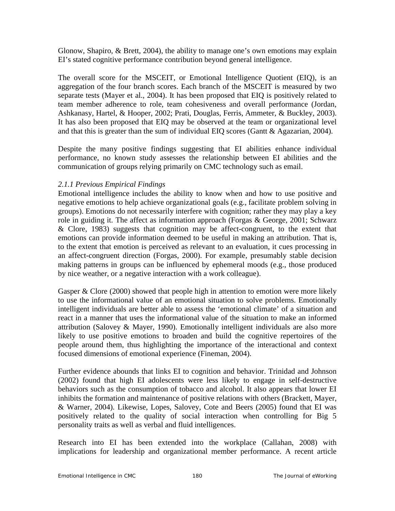Glonow, Shapiro, & Brett, 2004), the ability to manage one's own emotions may explain EI's stated cognitive performance contribution beyond general intelligence.

The overall score for the MSCEIT, or Emotional Intelligence Quotient (EIQ), is an aggregation of the four branch scores. Each branch of the MSCEIT is measured by two separate tests (Mayer et al., 2004). It has been proposed that EIQ is positively related to team member adherence to role, team cohesiveness and overall performance (Jordan, Ashkanasy, Hartel, & Hooper, 2002; Prati, Douglas, Ferris, Ammeter, & Buckley, 2003). It has also been proposed that EIQ may be observed at the team or organizational level and that this is greater than the sum of individual EIQ scores (Gantt & Agazarian, 2004).

Despite the many positive findings suggesting that EI abilities enhance individual performance, no known study assesses the relationship between EI abilities and the communication of groups relying primarily on CMC technology such as email.

### *2.1.1 Previous Empirical Findings*

Emotional intelligence includes the ability to know when and how to use positive and negative emotions to help achieve organizational goals (e.g., facilitate problem solving in groups). Emotions do not necessarily interfere with cognition; rather they may play a key role in guiding it. The affect as information approach (Forgas & George, 2001; Schwarz & Clore, 1983) suggests that cognition may be affect-congruent, to the extent that emotions can provide information deemed to be useful in making an attribution. That is, to the extent that emotion is perceived as relevant to an evaluation, it cues processing in an affect-congruent direction (Forgas, 2000). For example, presumably stable decision making patterns in groups can be influenced by ephemeral moods (e.g., those produced by nice weather, or a negative interaction with a work colleague).

Gasper & Clore (2000) showed that people high in attention to emotion were more likely to use the informational value of an emotional situation to solve problems. Emotionally intelligent individuals are better able to assess the 'emotional climate' of a situation and react in a manner that uses the informational value of the situation to make an informed attribution (Salovey & Mayer, 1990). Emotionally intelligent individuals are also more likely to use positive emotions to broaden and build the cognitive repertoires of the people around them, thus highlighting the importance of the interactional and context focused dimensions of emotional experience (Fineman, 2004).

Further evidence abounds that links EI to cognition and behavior. Trinidad and Johnson (2002) found that high EI adolescents were less likely to engage in self-destructive behaviors such as the consumption of tobacco and alcohol. It also appears that lower EI inhibits the formation and maintenance of positive relations with others (Brackett, Mayer, & Warner, 2004). Likewise, Lopes, Salovey, Cote and Beers (2005) found that EI was positively related to the quality of social interaction when controlling for Big 5 personality traits as well as verbal and fluid intelligences.

Research into EI has been extended into the workplace (Callahan, 2008) with implications for leadership and organizational member performance. A recent article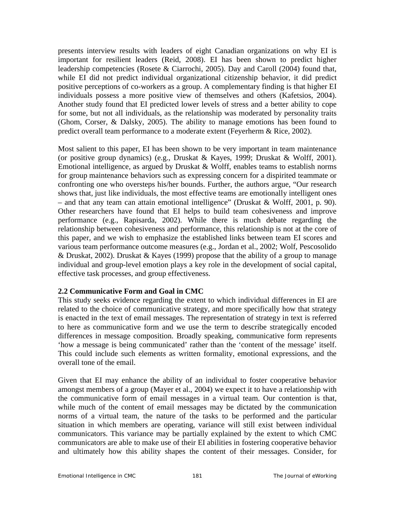presents interview results with leaders of eight Canadian organizations on why EI is important for resilient leaders (Reid, 2008). EI has been shown to predict higher leadership competencies (Rosete & Ciarrochi, 2005). Day and Caroll (2004) found that, while EI did not predict individual organizational citizenship behavior, it did predict positive perceptions of co-workers as a group. A complementary finding is that higher EI individuals possess a more positive view of themselves and others (Kafetsios, 2004). Another study found that EI predicted lower levels of stress and a better ability to cope for some, but not all individuals, as the relationship was moderated by personality traits (Ghom, Corser, & Dalsky, 2005). The ability to manage emotions has been found to predict overall team performance to a moderate extent (Feyerherm & Rice, 2002).

Most salient to this paper, EI has been shown to be very important in team maintenance (or positive group dynamics) (e.g., Druskat & Kayes, 1999; Druskat & Wolff, 2001). Emotional intelligence, as argued by Druskat & Wolff, enables teams to establish norms for group maintenance behaviors such as expressing concern for a dispirited teammate or confronting one who oversteps his/her bounds. Further, the authors argue, "Our research shows that, just like individuals, the most effective teams are emotionally intelligent ones – and that any team can attain emotional intelligence" (Druskat & Wolff, 2001, p. 90). Other researchers have found that EI helps to build team cohesiveness and improve performance (e.g., Rapisarda, 2002). While there is much debate regarding the relationship between cohesiveness and performance, this relationship is not at the core of this paper, and we wish to emphasize the established links between team EI scores and various team performance outcome measures (e.g., Jordan et al., 2002; Wolf, Pescosolido & Druskat, 2002). Druskat & Kayes (1999) propose that the ability of a group to manage individual and group-level emotion plays a key role in the development of social capital, effective task processes, and group effectiveness.

## **2.2 Communicative Form and Goal in CMC**

This study seeks evidence regarding the extent to which individual differences in EI are related to the choice of communicative strategy, and more specifically how that strategy is enacted in the text of email messages. The representation of strategy in text is referred to here as communicative form and we use the term to describe strategically encoded differences in message composition. Broadly speaking, communicative form represents 'how a message is being communicated' rather than the 'content of the message' itself. This could include such elements as written formality, emotional expressions, and the overall tone of the email.

Given that EI may enhance the ability of an individual to foster cooperative behavior amongst members of a group (Mayer et al., 2004) we expect it to have a relationship with the communicative form of email messages in a virtual team. Our contention is that, while much of the content of email messages may be dictated by the communication norms of a virtual team, the nature of the tasks to be performed and the particular situation in which members are operating, variance will still exist between individual communicators. This variance may be partially explained by the extent to which CMC communicators are able to make use of their EI abilities in fostering cooperative behavior and ultimately how this ability shapes the content of their messages. Consider, for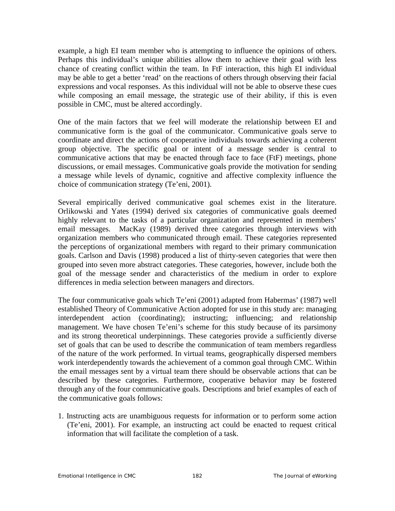example, a high EI team member who is attempting to influence the opinions of others. Perhaps this individual's unique abilities allow them to achieve their goal with less chance of creating conflict within the team. In FtF interaction, this high EI individual may be able to get a better 'read' on the reactions of others through observing their facial expressions and vocal responses. As this individual will not be able to observe these cues while composing an email message, the strategic use of their ability, if this is even possible in CMC, must be altered accordingly.

One of the main factors that we feel will moderate the relationship between EI and communicative form is the goal of the communicator. Communicative goals serve to coordinate and direct the actions of cooperative individuals towards achieving a coherent group objective. The specific goal or intent of a message sender is central to communicative actions that may be enacted through face to face (FtF) meetings, phone discussions, or email messages. Communicative goals provide the motivation for sending a message while levels of dynamic, cognitive and affective complexity influence the choice of communication strategy (Te'eni, 2001).

Several empirically derived communicative goal schemes exist in the literature. Orlikowski and Yates (1994) derived six categories of communicative goals deemed highly relevant to the tasks of a particular organization and represented in members' email messages. MacKay (1989) derived three categories through interviews with organization members who communicated through email. These categories represented the perceptions of organizational members with regard to their primary communication goals. Carlson and Davis (1998) produced a list of thirty-seven categories that were then grouped into seven more abstract categories. These categories, however, include both the goal of the message sender and characteristics of the medium in order to explore differences in media selection between managers and directors.

The four communicative goals which Te'eni (2001) adapted from Habermas' (1987) well established Theory of Communicative Action adopted for use in this study are: managing interdependent action (coordinating); instructing; influencing; and relationship management. We have chosen Te'eni's scheme for this study because of its parsimony and its strong theoretical underpinnings. These categories provide a sufficiently diverse set of goals that can be used to describe the communication of team members regardless of the nature of the work performed. In virtual teams, geographically dispersed members work interdependently towards the achievement of a common goal through CMC. Within the email messages sent by a virtual team there should be observable actions that can be described by these categories. Furthermore, cooperative behavior may be fostered through any of the four communicative goals. Descriptions and brief examples of each of the communicative goals follows:

1. Instructing acts are unambiguous requests for information or to perform some action (Te'eni, 2001). For example, an instructing act could be enacted to request critical information that will facilitate the completion of a task.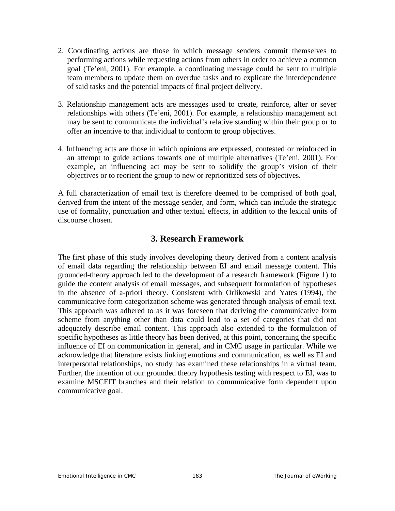- 2. Coordinating actions are those in which message senders commit themselves to performing actions while requesting actions from others in order to achieve a common goal (Te'eni, 2001). For example, a coordinating message could be sent to multiple team members to update them on overdue tasks and to explicate the interdependence of said tasks and the potential impacts of final project delivery.
- 3. Relationship management acts are messages used to create, reinforce, alter or sever relationships with others (Te'eni, 2001). For example, a relationship management act may be sent to communicate the individual's relative standing within their group or to offer an incentive to that individual to conform to group objectives.
- 4. Influencing acts are those in which opinions are expressed, contested or reinforced in an attempt to guide actions towards one of multiple alternatives (Te'eni, 2001). For example, an influencing act may be sent to solidify the group's vision of their objectives or to reorient the group to new or reprioritized sets of objectives.

A full characterization of email text is therefore deemed to be comprised of both goal, derived from the intent of the message sender, and form, which can include the strategic use of formality, punctuation and other textual effects, in addition to the lexical units of discourse chosen.

# **3. Research Framework**

The first phase of this study involves developing theory derived from a content analysis of email data regarding the relationship between EI and email message content. This grounded-theory approach led to the development of a research framework (Figure 1) to guide the content analysis of email messages, and subsequent formulation of hypotheses in the absence of a-priori theory. Consistent with Orlikowski and Yates (1994), the communicative form categorization scheme was generated through analysis of email text. This approach was adhered to as it was foreseen that deriving the communicative form scheme from anything other than data could lead to a set of categories that did not adequately describe email content. This approach also extended to the formulation of specific hypotheses as little theory has been derived, at this point, concerning the specific influence of EI on communication in general, and in CMC usage in particular. While we acknowledge that literature exists linking emotions and communication, as well as EI and interpersonal relationships, no study has examined these relationships in a virtual team. Further, the intention of our grounded theory hypothesis testing with respect to EI, was to examine MSCEIT branches and their relation to communicative form dependent upon communicative goal.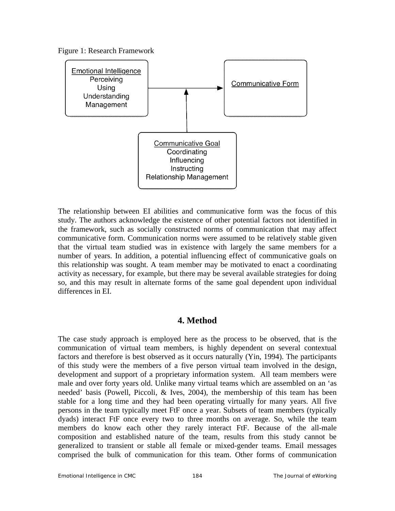



The relationship between EI abilities and communicative form was the focus of this study. The authors acknowledge the existence of other potential factors not identified in the framework, such as socially constructed norms of communication that may affect communicative form. Communication norms were assumed to be relatively stable given that the virtual team studied was in existence with largely the same members for a number of years. In addition, a potential influencing effect of communicative goals on this relationship was sought. A team member may be motivated to enact a coordinating activity as necessary, for example, but there may be several available strategies for doing so, and this may result in alternate forms of the same goal dependent upon individual differences in EI.

## **4. Method**

The case study approach is employed here as the process to be observed, that is the communication of virtual team members, is highly dependent on several contextual factors and therefore is best observed as it occurs naturally (Yin, 1994). The participants of this study were the members of a five person virtual team involved in the design, development and support of a proprietary information system. All team members were male and over forty years old. Unlike many virtual teams which are assembled on an 'as needed' basis (Powell, Piccoli, & Ives, 2004), the membership of this team has been stable for a long time and they had been operating virtually for many years. All five persons in the team typically meet FtF once a year. Subsets of team members (typically dyads) interact FtF once every two to three months on average. So, while the team members do know each other they rarely interact FtF. Because of the all-male composition and established nature of the team, results from this study cannot be generalized to transient or stable all female or mixed-gender teams. Email messages comprised the bulk of communication for this team. Other forms of communication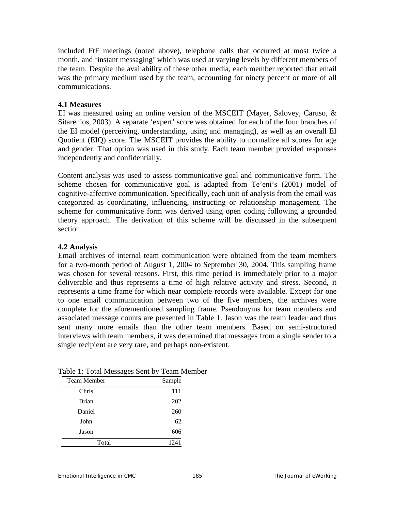included FtF meetings (noted above), telephone calls that occurred at most twice a month, and 'instant messaging' which was used at varying levels by different members of the team. Despite the availability of these other media, each member reported that email was the primary medium used by the team, accounting for ninety percent or more of all communications.

#### **4.1 Measures**

EI was measured using an online version of the MSCEIT (Mayer, Salovey, Caruso, & Sitarenios, 2003). A separate 'expert' score was obtained for each of the four branches of the EI model (perceiving, understanding, using and managing), as well as an overall EI Quotient (EIQ) score. The MSCEIT provides the ability to normalize all scores for age and gender. That option was used in this study. Each team member provided responses independently and confidentially.

Content analysis was used to assess communicative goal and communicative form. The scheme chosen for communicative goal is adapted from Te'eni's (2001) model of cognitive-affective communication. Specifically, each unit of analysis from the email was categorized as coordinating, influencing, instructing or relationship management. The scheme for communicative form was derived using open coding following a grounded theory approach. The derivation of this scheme will be discussed in the subsequent section.

### **4.2 Analysis**

Email archives of internal team communication were obtained from the team members for a two-month period of August 1, 2004 to September 30, 2004. This sampling frame was chosen for several reasons. First, this time period is immediately prior to a major deliverable and thus represents a time of high relative activity and stress. Second, it represents a time frame for which near complete records were available. Except for one to one email communication between two of the five members, the archives were complete for the aforementioned sampling frame. Pseudonyms for team members and associated message counts are presented in Table 1. Jason was the team leader and thus sent many more emails than the other team members. Based on semi-structured interviews with team members, it was determined that messages from a single sender to a single recipient are very rare, and perhaps non-existent.

| $\check{ }$        |        |
|--------------------|--------|
| <b>Team Member</b> | Sample |
| Chris              | 111    |
| <b>Brian</b>       | 202    |
| Daniel             | 260    |
| John               | 62     |
| Jason              | 606    |
| Total              | 1241   |

Table 1: Total Messages Sent by Team Member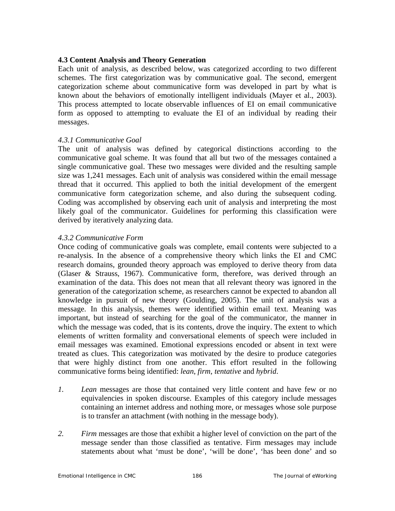#### **4.3 Content Analysis and Theory Generation**

Each unit of analysis, as described below, was categorized according to two different schemes. The first categorization was by communicative goal. The second, emergent categorization scheme about communicative form was developed in part by what is known about the behaviors of emotionally intelligent individuals (Mayer et al., 2003). This process attempted to locate observable influences of EI on email communicative form as opposed to attempting to evaluate the EI of an individual by reading their messages.

#### *4.3.1 Communicative Goal*

The unit of analysis was defined by categorical distinctions according to the communicative goal scheme. It was found that all but two of the messages contained a single communicative goal. These two messages were divided and the resulting sample size was 1,241 messages. Each unit of analysis was considered within the email message thread that it occurred. This applied to both the initial development of the emergent communicative form categorization scheme, and also during the subsequent coding. Coding was accomplished by observing each unit of analysis and interpreting the most likely goal of the communicator. Guidelines for performing this classification were derived by iteratively analyzing data.

#### *4.3.2 Communicative Form*

Once coding of communicative goals was complete, email contents were subjected to a re-analysis. In the absence of a comprehensive theory which links the EI and CMC research domains, grounded theory approach was employed to derive theory from data (Glaser & Strauss, 1967). Communicative form, therefore, was derived through an examination of the data. This does not mean that all relevant theory was ignored in the generation of the categorization scheme, as researchers cannot be expected to abandon all knowledge in pursuit of new theory (Goulding, 2005). The unit of analysis was a message. In this analysis, themes were identified within email text. Meaning was important, but instead of searching for the goal of the communicator, the manner in which the message was coded, that is its contents, drove the inquiry. The extent to which elements of written formality and conversational elements of speech were included in email messages was examined. Emotional expressions encoded or absent in text were treated as clues. This categorization was motivated by the desire to produce categories that were highly distinct from one another. This effort resulted in the following communicative forms being identified: *lean*, *firm*, *tentative* and *hybrid*.

- *1. Lean* messages are those that contained very little content and have few or no equivalencies in spoken discourse. Examples of this category include messages containing an internet address and nothing more, or messages whose sole purpose is to transfer an attachment (with nothing in the message body).
- *2. Firm* messages are those that exhibit a higher level of conviction on the part of the message sender than those classified as tentative. Firm messages may include statements about what 'must be done', 'will be done', 'has been done' and so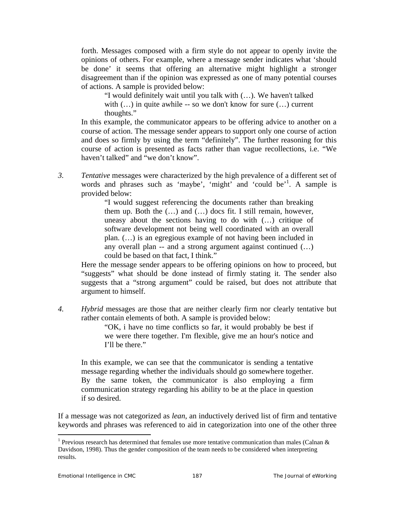forth. Messages composed with a firm style do not appear to openly invite the opinions of others. For example, where a message sender indicates what 'should be done' it seems that offering an alternative might highlight a stronger disagreement than if the opinion was expressed as one of many potential courses of actions. A sample is provided below:

"I would definitely wait until you talk with (…). We haven't talked with  $(...)$  in quite awhile -- so we don't know for sure  $(...)$  current thoughts."

In this example, the communicator appears to be offering advice to another on a course of action. The message sender appears to support only one course of action and does so firmly by using the term "definitely". The further reasoning for this course of action is presented as facts rather than vague recollections, i.e. "We haven't talked" and "we don't know".

*3. Tentative* messages were characterized by the high prevalence of a different set of words and phrases such as 'maybe', 'might' and 'could be'<sup>1</sup>. A sample is provided below:

> "I would suggest referencing the documents rather than breaking them up. Both the (…) and (…) docs fit. I still remain, however, uneasy about the sections having to do with (…) critique of software development not being well coordinated with an overall plan. (…) is an egregious example of not having been included in any overall plan -- and a strong argument against continued (…) could be based on that fact, I think."

Here the message sender appears to be offering opinions on how to proceed, but "suggests" what should be done instead of firmly stating it. The sender also suggests that a "strong argument" could be raised, but does not attribute that argument to himself.

*4. Hybrid* messages are those that are neither clearly firm nor clearly tentative but rather contain elements of both. A sample is provided below:

"OK, i have no time conflicts so far, it would probably be best if we were there together. I'm flexible, give me an hour's notice and I'll be there."

In this example, we can see that the communicator is sending a tentative message regarding whether the individuals should go somewhere together. By the same token, the communicator is also employing a firm communication strategy regarding his ability to be at the place in question if so desired.

If a message was not categorized as *lean*, an inductively derived list of firm and tentative keywords and phrases was referenced to aid in categorization into one of the other three

 $\overline{a}$ 

<sup>&</sup>lt;sup>1</sup> Previous research has determined that females use more tentative communication than males (Calnan  $\&$ Davidson, 1998). Thus the gender composition of the team needs to be considered when interpreting results.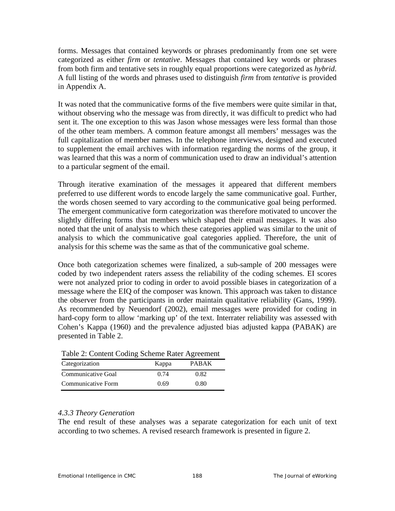forms. Messages that contained keywords or phrases predominantly from one set were categorized as either *firm* or *tentative*. Messages that contained key words or phrases from both firm and tentative sets in roughly equal proportions were categorized as *hybrid*. A full listing of the words and phrases used to distinguish *firm* from *tentative* is provided in Appendix A.

It was noted that the communicative forms of the five members were quite similar in that, without observing who the message was from directly, it was difficult to predict who had sent it. The one exception to this was Jason whose messages were less formal than those of the other team members. A common feature amongst all members' messages was the full capitalization of member names. In the telephone interviews, designed and executed to supplement the email archives with information regarding the norms of the group, it was learned that this was a norm of communication used to draw an individual's attention to a particular segment of the email.

Through iterative examination of the messages it appeared that different members preferred to use different words to encode largely the same communicative goal. Further, the words chosen seemed to vary according to the communicative goal being performed. The emergent communicative form categorization was therefore motivated to uncover the slightly differing forms that members which shaped their email messages. It was also noted that the unit of analysis to which these categories applied was similar to the unit of analysis to which the communicative goal categories applied. Therefore, the unit of analysis for this scheme was the same as that of the communicative goal scheme.

Once both categorization schemes were finalized, a sub-sample of 200 messages were coded by two independent raters assess the reliability of the coding schemes. EI scores were not analyzed prior to coding in order to avoid possible biases in categorization of a message where the EIQ of the composer was known. This approach was taken to distance the observer from the participants in order maintain qualitative reliability (Gans, 1999). As recommended by Neuendorf (2002), email messages were provided for coding in hard-copy form to allow 'marking up' of the text. Interrater reliability was assessed with Cohen's Kappa (1960) and the prevalence adjusted bias adjusted kappa (PABAK) are presented in Table 2.

| Table 2. Cometh County Scheme Kater Agreement |       |              |  |  |
|-----------------------------------------------|-------|--------------|--|--|
| Categorization                                | Kappa | <b>PARAK</b> |  |  |
| Communicative Goal                            | 0.74  | 0.82         |  |  |
| Communicative Form                            | 0.69  | 0.80         |  |  |

|  |  | Table 2: Content Coding Scheme Rater Agreement |
|--|--|------------------------------------------------|
|  |  |                                                |

## *4.3.3 Theory Generation*

The end result of these analyses was a separate categorization for each unit of text according to two schemes. A revised research framework is presented in figure 2.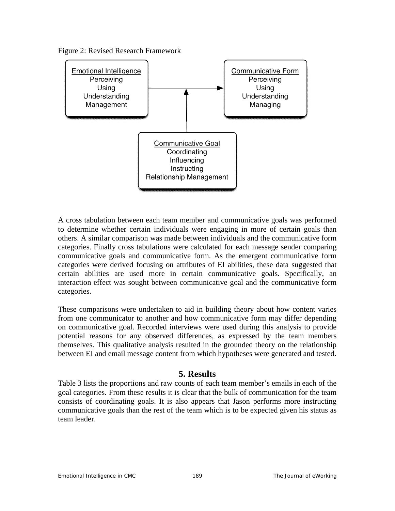



A cross tabulation between each team member and communicative goals was performed to determine whether certain individuals were engaging in more of certain goals than others. A similar comparison was made between individuals and the communicative form categories. Finally cross tabulations were calculated for each message sender comparing communicative goals and communicative form. As the emergent communicative form categories were derived focusing on attributes of EI abilities, these data suggested that certain abilities are used more in certain communicative goals. Specifically, an interaction effect was sought between communicative goal and the communicative form categories.

These comparisons were undertaken to aid in building theory about how content varies from one communicator to another and how communicative form may differ depending on communicative goal. Recorded interviews were used during this analysis to provide potential reasons for any observed differences, as expressed by the team members themselves. This qualitative analysis resulted in the grounded theory on the relationship between EI and email message content from which hypotheses were generated and tested.

# **5. Results**

Table 3 lists the proportions and raw counts of each team member's emails in each of the goal categories. From these results it is clear that the bulk of communication for the team consists of coordinating goals. It is also appears that Jason performs more instructing communicative goals than the rest of the team which is to be expected given his status as team leader.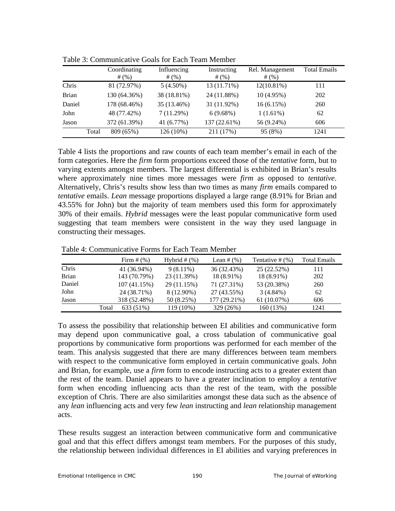|              |       | Coordinating<br># $(%)$ | Influencing<br>#(%) | Instructing<br># $(%)$ | Rel. Management<br># $(%)$ | <b>Total Emails</b> |
|--------------|-------|-------------------------|---------------------|------------------------|----------------------------|---------------------|
| Chris        |       | 81 (72.97%)             | $5(4.50\%)$         | 13 (11.71%)            | $12(10.81\%)$              | 111                 |
| <b>Brian</b> |       | 130 (64.36%)            | 38 (18.81%)         | 24 (11.88%)            | $10(4.95\%)$               | 202                 |
| Daniel       |       | 178 (68.46%)            | 35 (13.46%)         | 31 (11.92%)            | 16(6.15%)                  | 260                 |
| John         |       | 48 (77.42%)             | 7(11.29%)           | 6(9.68%)               | $1(1.61\%)$                | 62                  |
| Jason        |       | 372 (61.39%)            | 41 (6.77%)          | 137 (22.61%)           | 56 (9.24%)                 | 606                 |
|              | Total | 809 (65%)               | 126 (10%)           | 211 (17%)              | 95 (8%)                    | 1241                |

Table 3: Communicative Goals for Each Team Member

Table 4 lists the proportions and raw counts of each team member's email in each of the form categories. Here the *firm* form proportions exceed those of the *tentative* form, but to varying extents amongst members. The largest differential is exhibited in Brian's results where approximately nine times more messages were *firm* as opposed to *tentative*. Alternatively, Chris's results show less than two times as many *firm* emails compared to *tentative* emails. *Lean* message proportions displayed a large range (8.91% for Brian and 43.55% for John) but the majority of team members used this form for approximately 30% of their emails. *Hybrid* messages were the least popular communicative form used suggesting that team members were consistent in the way they used language in constructing their messages.

Table 4: Communicative Forms for Each Team Member

|              |       | Firm $#(%)$  | Hybrid $#$ $%$ ) | Lean # $(\%)$ | Tentative $#$ $(\%)$ | Total Emails |
|--------------|-------|--------------|------------------|---------------|----------------------|--------------|
| Chris        |       | 41 (36.94%)  | $9(8.11\%)$      | 36 (32.43%)   | 25 (22.52%)          | 111          |
| <b>Brian</b> |       | 143 (70.79%) | 23 (11.39%)      | 18 (8.91%)    | 18 (8.91%)           | 202          |
| Daniel       |       | 107 (41.15%) | 29 (11.15%)      | 71 (27.31%)   | 53 (20.38%)          | 260          |
| John         |       | 24 (38.71%)  | 8 (12.90%)       | 27 (43.55%)   | $3(4.84\%)$          | 62           |
| Jason        |       | 318 (52.48%) | 50 (8.25%)       | 177 (29.21%)  | 61 (10.07%)          | 606          |
|              | Total | 633 (51%)    | 119 (10%)        | 329 (26%)     | 160 (13%)            | 1241         |

To assess the possibility that relationship between EI abilities and communicative form may depend upon communicative goal, a cross tabulation of communicative goal proportions by communicative form proportions was performed for each member of the team. This analysis suggested that there are many differences between team members with respect to the communicative form employed in certain communicative goals. John and Brian, for example, use a *firm* form to encode instructing acts to a greater extent than the rest of the team. Daniel appears to have a greater inclination to employ a *tentative* form when encoding influencing acts than the rest of the team, with the possible exception of Chris. There are also similarities amongst these data such as the absence of any *lean* influencing acts and very few *lean* instructing and *lean* relationship management acts.

These results suggest an interaction between communicative form and communicative goal and that this effect differs amongst team members. For the purposes of this study, the relationship between individual differences in EI abilities and varying preferences in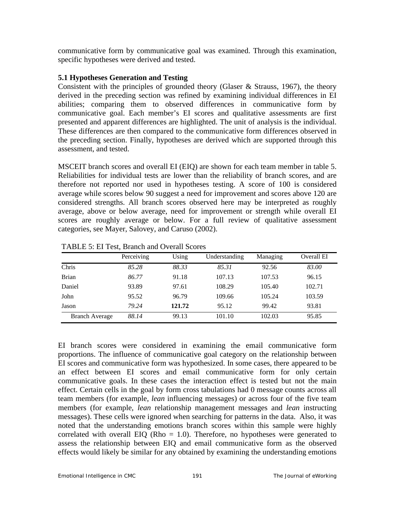communicative form by communicative goal was examined. Through this examination, specific hypotheses were derived and tested.

### **5.1 Hypotheses Generation and Testing**

Consistent with the principles of grounded theory (Glaser & Strauss, 1967), the theory derived in the preceding section was refined by examining individual differences in EI abilities; comparing them to observed differences in communicative form by communicative goal. Each member's EI scores and qualitative assessments are first presented and apparent differences are highlighted. The unit of analysis is the individual. These differences are then compared to the communicative form differences observed in the preceding section. Finally, hypotheses are derived which are supported through this assessment, and tested.

MSCEIT branch scores and overall EI (EIQ) are shown for each team member in table 5. Reliabilities for individual tests are lower than the reliability of branch scores, and are therefore not reported nor used in hypotheses testing. A score of 100 is considered average while scores below 90 suggest a need for improvement and scores above 120 are considered strengths. All branch scores observed here may be interpreted as roughly average, above or below average, need for improvement or strength while overall EI scores are roughly average or below. For a full review of qualitative assessment categories, see Mayer, Salovey, and Caruso (2002).

|                       | Perceiving | Using  | Understanding | Managing | Overall EI |
|-----------------------|------------|--------|---------------|----------|------------|
| Chris                 | 85.28      | 88.33  | 85.31         | 92.56    | 83.00      |
| <b>Brian</b>          | 86.77      | 91.18  | 107.13        | 107.53   | 96.15      |
| Daniel                | 93.89      | 97.61  | 108.29        | 105.40   | 102.71     |
| John                  | 95.52      | 96.79  | 109.66        | 105.24   | 103.59     |
| Jason                 | 79.24      | 121.72 | 95.12         | 99.42    | 93.81      |
| <b>Branch Average</b> | 88.14      | 99.13  | 101.10        | 102.03   | 95.85      |

TABLE 5: EI Test, Branch and Overall Scores

EI branch scores were considered in examining the email communicative form proportions. The influence of communicative goal category on the relationship between EI scores and communicative form was hypothesized. In some cases, there appeared to be an effect between EI scores and email communicative form for only certain communicative goals. In these cases the interaction effect is tested but not the main effect. Certain cells in the goal by form cross tabulations had 0 message counts across all team members (for example, *lean* influencing messages) or across four of the five team members (for example, *lean* relationship management messages and *lean* instructing messages). These cells were ignored when searching for patterns in the data. Also, it was noted that the understanding emotions branch scores within this sample were highly correlated with overall EIQ (Rho  $= 1.0$ ). Therefore, no hypotheses were generated to assess the relationship between EIQ and email communicative form as the observed effects would likely be similar for any obtained by examining the understanding emotions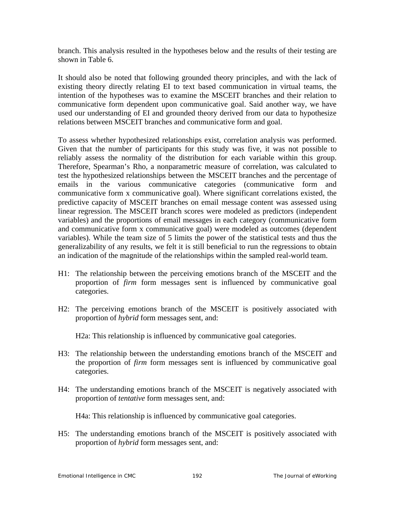branch. This analysis resulted in the hypotheses below and the results of their testing are shown in Table 6.

It should also be noted that following grounded theory principles, and with the lack of existing theory directly relating EI to text based communication in virtual teams, the intention of the hypotheses was to examine the MSCEIT branches and their relation to communicative form dependent upon communicative goal. Said another way, we have used our understanding of EI and grounded theory derived from our data to hypothesize relations between MSCEIT branches and communicative form and goal.

To assess whether hypothesized relationships exist, correlation analysis was performed. Given that the number of participants for this study was five, it was not possible to reliably assess the normality of the distribution for each variable within this group. Therefore, Spearman's Rho, a nonparametric measure of correlation, was calculated to test the hypothesized relationships between the MSCEIT branches and the percentage of emails in the various communicative categories (communicative form and communicative form x communicative goal). Where significant correlations existed, the predictive capacity of MSCEIT branches on email message content was assessed using linear regression. The MSCEIT branch scores were modeled as predictors (independent variables) and the proportions of email messages in each category (communicative form and communicative form x communicative goal) were modeled as outcomes (dependent variables). While the team size of 5 limits the power of the statistical tests and thus the generalizability of any results, we felt it is still beneficial to run the regressions to obtain an indication of the magnitude of the relationships within the sampled real-world team.

- H1: The relationship between the perceiving emotions branch of the MSCEIT and the proportion of *firm* form messages sent is influenced by communicative goal categories.
- H2: The perceiving emotions branch of the MSCEIT is positively associated with proportion of *hybrid* form messages sent, and:

H2a: This relationship is influenced by communicative goal categories.

- H3: The relationship between the understanding emotions branch of the MSCEIT and the proportion of *firm* form messages sent is influenced by communicative goal categories.
- H4: The understanding emotions branch of the MSCEIT is negatively associated with proportion of *tentative* form messages sent, and:

H4a: This relationship is influenced by communicative goal categories.

H5: The understanding emotions branch of the MSCEIT is positively associated with proportion of *hybrid* form messages sent, and: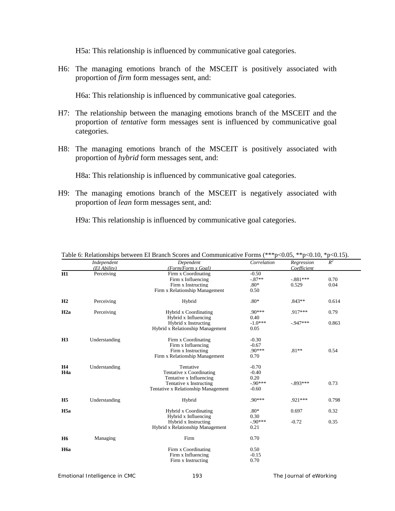H5a: This relationship is influenced by communicative goal categories.

H6: The managing emotions branch of the MSCEIT is positively associated with proportion of *firm* form messages sent, and:

H6a: This relationship is influenced by communicative goal categories.

- H7: The relationship between the managing emotions branch of the MSCEIT and the proportion of *tentative* form messages sent is influenced by communicative goal categories.
- H8: The managing emotions branch of the MSCEIT is positively associated with proportion of *hybrid* form messages sent, and:

H8a: This relationship is influenced by communicative goal categories.

H9: The managing emotions branch of the MSCEIT is negatively associated with proportion of *lean* form messages sent, and:

H9a: This relationship is influenced by communicative goal categories.

|                  | Independent   | Dependent                           | Correlation | Regression  | $R^2$ |
|------------------|---------------|-------------------------------------|-------------|-------------|-------|
|                  | (EI Ability)  | (Form/Form x Goal)                  |             | Coefficient |       |
| H1               | Perceiving    | Firm x Coordinating                 | $-0.50$     |             |       |
|                  |               | Firm x Influencing                  | $-87**$     | $-.881***$  | 0.70  |
|                  |               | Firm x Instructing                  | $.80*$      | 0.529       | 0.04  |
|                  |               | Firm x Relationship Management      | 0.50        |             |       |
| H <sub>2</sub>   | Perceiving    | Hybrid                              | $.80*$      | $.843**$    | 0.614 |
| H2a              | Perceiving    | Hybrid x Coordinating               | $.90***$    | $.917***$   | 0.79  |
|                  |               | Hybrid x Influencing                | 0.40        |             |       |
|                  |               | Hybrid x Instructing                | $-1.0***$   | $-947***$   | 0.863 |
|                  |               | Hybrid x Relationship Management    | 0.05        |             |       |
| H <sub>3</sub>   | Understanding | Firm x Coordinating                 | $-0.30$     |             |       |
|                  |               | Firm x Influencing                  | $-0.67$     |             |       |
|                  |               | Firm x Instructing                  | $.90***$    | $.81**$     | 0.54  |
|                  |               | Firm x Relationship Management      | 0.70        |             |       |
| <b>H4</b>        | Understanding | Tentative                           | $-0.70$     |             |       |
| H <sub>4a</sub>  |               | Tentative x Coordinating            | $-0.40$     |             |       |
|                  |               | Tentative x Influencing             | 0.20        |             |       |
|                  |               | Tentative x Instructing             | $-90***$    | $-893***$   | 0.73  |
|                  |               | Tentative x Relationship Management | $-0.60$     |             |       |
| H <sub>5</sub>   | Understanding | Hybrid                              | $.90***$    | .921 ***    | 0.798 |
| H <sub>5a</sub>  |               | Hybrid x Coordinating               | $.80*$      | 0.697       | 0.32  |
|                  |               | Hybrid x Influencing                | 0.30        |             |       |
|                  |               | Hybrid x Instructing                | $-90***$    | $-0.72$     | 0.35  |
|                  |               | Hybrid x Relationship Management    | 0.21        |             |       |
| H <sub>6</sub>   | Managing      | Firm                                | 0.70        |             |       |
| H <sub>6</sub> a |               | Firm x Coordinating                 | 0.50        |             |       |
|                  |               | Firm x Influencing                  | $-0.15$     |             |       |
|                  |               | Firm x Instructing                  | 0.70        |             |       |
|                  |               |                                     |             |             |       |

| Table 6: Relationships between EI Branch Scores and Communicative Forms (***p<0.05, **p<0.10, *p<0.15). |  |  |  |
|---------------------------------------------------------------------------------------------------------|--|--|--|
|                                                                                                         |  |  |  |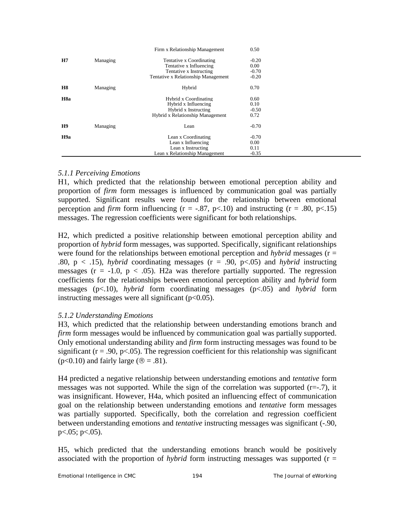|                  |          | Firm x Relationship Management      | 0.50    |  |
|------------------|----------|-------------------------------------|---------|--|
| H7               | Managing | Tentative x Coordinating            | $-0.20$ |  |
|                  |          | Tentative x Influencing             | 0.00    |  |
|                  |          | Tentative x Instructing             | $-0.70$ |  |
|                  |          | Tentative x Relationship Management | $-0.20$ |  |
| <b>H8</b>        | Managing | Hybrid                              | 0.70    |  |
| H <sub>8</sub> a |          | Hybrid x Coordinating               | 0.60    |  |
|                  |          | Hybrid x Influencing                | 0.10    |  |
|                  |          | Hybrid x Instructing                | $-0.50$ |  |
|                  |          | Hybrid x Relationship Management    | 0.72    |  |
| H9               | Managing | Lean                                | $-0.70$ |  |
| H <sub>9a</sub>  |          | Lean x Coordinating                 | $-0.70$ |  |
|                  |          | Lean x Influencing                  | 0.00    |  |
|                  |          | Lean x Instructing                  | 0.11    |  |
|                  |          | Lean x Relationship Management      | $-0.35$ |  |

## *5.1.1 Perceiving Emotions*

H1, which predicted that the relationship between emotional perception ability and proportion of *firm* form messages is influenced by communication goal was partially supported. Significant results were found for the relationship between emotional perception and *firm* form influencing  $(r = -.87, p < .10)$  and instructing  $(r = .80, p < .15)$ messages. The regression coefficients were significant for both relationships.

H2, which predicted a positive relationship between emotional perception ability and proportion of *hybrid* form messages, was supported. Specifically, significant relationships were found for the relationships between emotional perception and *hybrid* messages ( $r =$ .80,  $p \lt 0.15$ , *hybrid* coordinating messages ( $r = 0.90$ ,  $p \lt 0.05$ ) and *hybrid* instructing messages ( $r = -1.0$ ,  $p < .05$ ). H2a was therefore partially supported. The regression coefficients for the relationships between emotional perception ability and *hybrid* form messages (p<.10), *hybrid* form coordinating messages (p<.05) and *hybrid* form instructing messages were all significant  $(p<0.05)$ .

## *5.1.2 Understanding Emotions*

H3, which predicted that the relationship between understanding emotions branch and *firm* form messages would be influenced by communication goal was partially supported. Only emotional understanding ability and *firm* form instructing messages was found to be significant ( $r = .90$ ,  $p < .05$ ). The regression coefficient for this relationship was significant ( $p<0.10$ ) and fairly large ( $\mathcal{R} = .81$ ).

H4 predicted a negative relationship between understanding emotions and *tentative* form messages was not supported. While the sign of the correlation was supported  $(r=-.7)$ , it was insignificant. However, H4a, which posited an influencing effect of communication goal on the relationship between understanding emotions and *tentative* form messages was partially supported. Specifically, both the correlation and regression coefficient between understanding emotions and *tentative* instructing messages was significant (-.90, p<.05; p<.05).

H5, which predicted that the understanding emotions branch would be positively associated with the proportion of *hybrid* form instructing messages was supported (r =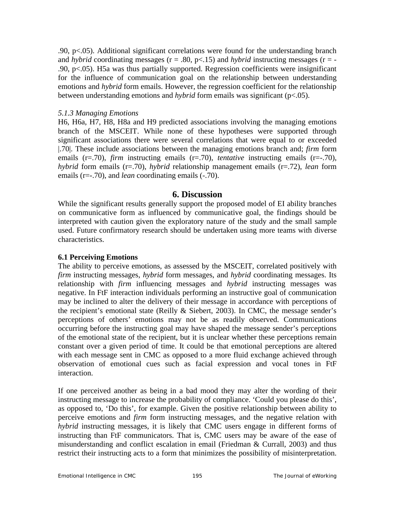.90, p<.05). Additional significant correlations were found for the understanding branch and *hybrid* coordinating messages ( $r = .80$ ,  $p < .15$ ) and *hybrid* instructing messages ( $r = -$ .90, p<.05). H5a was thus partially supported. Regression coefficients were insignificant for the influence of communication goal on the relationship between understanding emotions and *hybrid* form emails. However, the regression coefficient for the relationship between understanding emotions and *hybrid* form emails was significant (p<.05).

#### *5.1.3 Managing Emotions*

H6, H6a, H7, H8, H8a and H9 predicted associations involving the managing emotions branch of the MSCEIT. While none of these hypotheses were supported through significant associations there were several correlations that were equal to or exceeded |.70|. These include associations between the managing emotions branch and; *firm* form emails (r=.70), *firm* instructing emails (r=.70), *tentative* instructing emails (r=-.70), *hybrid* form emails (r=.70), *hybrid* relationship management emails (r=.72), *lean* form emails (r=-.70), and *lean* coordinating emails (-.70).

#### **6. Discussion**

While the significant results generally support the proposed model of EI ability branches on communicative form as influenced by communicative goal, the findings should be interpreted with caution given the exploratory nature of the study and the small sample used. Future confirmatory research should be undertaken using more teams with diverse characteristics.

#### **6.1 Perceiving Emotions**

The ability to perceive emotions, as assessed by the MSCEIT, correlated positively with *firm* instructing messages, *hybrid* form messages, and *hybrid* coordinating messages. Its relationship with *firm* influencing messages and *hybrid* instructing messages was negative. In FtF interaction individuals performing an instructive goal of communication may be inclined to alter the delivery of their message in accordance with perceptions of the recipient's emotional state (Reilly & Siebert, 2003). In CMC, the message sender's perceptions of others' emotions may not be as readily observed. Communications occurring before the instructing goal may have shaped the message sender's perceptions of the emotional state of the recipient, but it is unclear whether these perceptions remain constant over a given period of time. It could be that emotional perceptions are altered with each message sent in CMC as opposed to a more fluid exchange achieved through observation of emotional cues such as facial expression and vocal tones in FtF interaction.

If one perceived another as being in a bad mood they may alter the wording of their instructing message to increase the probability of compliance. 'Could you please do this', as opposed to, 'Do this', for example. Given the positive relationship between ability to perceive emotions and *firm* form instructing messages, and the negative relation with *hybrid* instructing messages, it is likely that CMC users engage in different forms of instructing than FtF communicators. That is, CMC users may be aware of the ease of misunderstanding and conflict escalation in email (Friedman & Currall, 2003) and thus restrict their instructing acts to a form that minimizes the possibility of misinterpretation.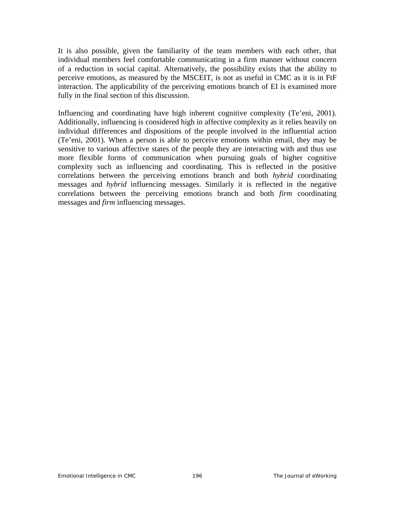It is also possible, given the familiarity of the team members with each other, that individual members feel comfortable communicating in a firm manner without concern of a reduction in social capital. Alternatively, the possibility exists that the ability to perceive emotions, as measured by the MSCEIT, is not as useful in CMC as it is in FtF interaction. The applicability of the perceiving emotions branch of EI is examined more fully in the final section of this discussion.

Influencing and coordinating have high inherent cognitive complexity (Te'eni, 2001). Additionally, influencing is considered high in affective complexity as it relies heavily on individual differences and dispositions of the people involved in the influential action (Te'eni, 2001). When a person is able to perceive emotions within email, they may be sensitive to various affective states of the people they are interacting with and thus use more flexible forms of communication when pursuing goals of higher cognitive complexity such as influencing and coordinating. This is reflected in the positive correlations between the perceiving emotions branch and both *hybrid* coordinating messages and *hybrid* influencing messages. Similarly it is reflected in the negative correlations between the perceiving emotions branch and both *firm* coordinating messages and *firm* influencing messages.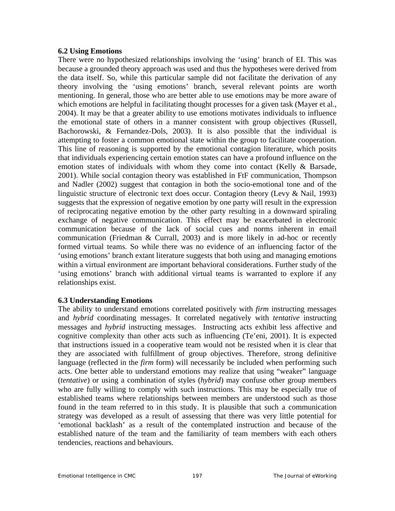#### **6.2 Using Emotions**

There were no hypothesized relationships involving the 'using' branch of EI. This was because a grounded theory approach was used and thus the hypotheses were derived from the data itself. So, while this particular sample did not facilitate the derivation of any theory involving the 'using emotions' branch, several relevant points are worth mentioning. In general, those who are better able to use emotions may be more aware of which emotions are helpful in facilitating thought processes for a given task (Mayer et al., 2004). It may be that a greater ability to use emotions motivates individuals to influence the emotional state of others in a manner consistent with group objectives (Russell, Bachorowski, & Fernandez-Dols, 2003). It is also possible that the individual is attempting to foster a common emotional state within the group to facilitate cooperation. This line of reasoning is supported by the emotional contagion literature, which posits that individuals experiencing certain emotion states can have a profound influence on the emotion states of individuals with whom they come into contact (Kelly & Barsade, 2001). While social contagion theory was established in FtF communication, Thompson and Nadler (2002) suggest that contagion in both the socio-emotional tone and of the linguistic structure of electronic text does occur. Contagion theory (Levy & Nail, 1993) suggests that the expression of negative emotion by one party will result in the expression of reciprocating negative emotion by the other party resulting in a downward spiraling exchange of negative communication. This effect may be exacerbated in electronic communication because of the lack of social cues and norms inherent in email communication (Friedman & Currall, 2003) and is more likely in ad-hoc or recently formed virtual teams. So while there was no evidence of an influencing factor of the 'using emotions' branch extant literature suggests that both using and managing emotions within a virtual environment are important behavioral considerations. Further study of the 'using emotions' branch with additional virtual teams is warranted to explore if any relationships exist.

#### **6.3 Understanding Emotions**

The ability to understand emotions correlated positively with *firm* instructing messages and *hybrid* coordinating messages. It correlated negatively with *tentative* instructing messages and *hybrid* instructing messages. Instructing acts exhibit less affective and cognitive complexity than other acts such as influencing (Te'eni, 2001). It is expected that instructions issued in a cooperative team would not be resisted when it is clear that they are associated with fulfillment of group objectives. Therefore, strong definitive language (reflected in the *firm* form) will necessarily be included when performing such acts. One better able to understand emotions may realize that using "weaker" language (*tentative*) or using a combination of styles (*hybrid*) may confuse other group members who are fully willing to comply with such instructions. This may be especially true of established teams where relationships between members are understood such as those found in the team referred to in this study. It is plausible that such a communication strategy was developed as a result of assessing that there was very little potential for 'emotional backlash' as a result of the contemplated instruction and because of the established nature of the team and the familiarity of team members with each others tendencies, reactions and behaviours.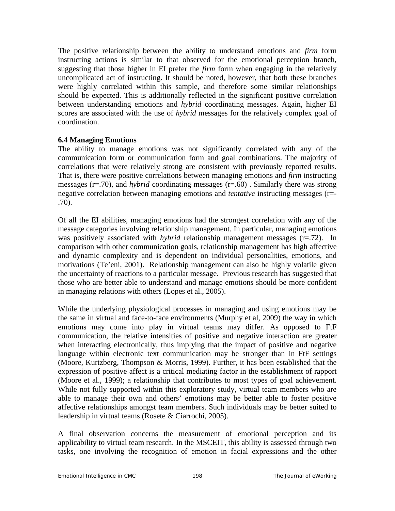The positive relationship between the ability to understand emotions and *firm* form instructing actions is similar to that observed for the emotional perception branch, suggesting that those higher in EI prefer the *firm* form when engaging in the relatively uncomplicated act of instructing. It should be noted, however, that both these branches were highly correlated within this sample, and therefore some similar relationships should be expected. This is additionally reflected in the significant positive correlation between understanding emotions and *hybrid* coordinating messages. Again, higher EI scores are associated with the use of *hybrid* messages for the relatively complex goal of coordination.

## **6.4 Managing Emotions**

The ability to manage emotions was not significantly correlated with any of the communication form or communication form and goal combinations. The majority of correlations that were relatively strong are consistent with previously reported results. That is, there were positive correlations between managing emotions and *firm* instructing messages (r=.70), and *hybrid* coordinating messages (r=.60) . Similarly there was strong negative correlation between managing emotions and *tentative* instructing messages (r=- .70).

Of all the EI abilities, managing emotions had the strongest correlation with any of the message categories involving relationship management. In particular, managing emotions was positively associated with *hybrid* relationship management messages (r=.72). In comparison with other communication goals, relationship management has high affective and dynamic complexity and is dependent on individual personalities, emotions, and motivations (Te'eni, 2001). Relationship management can also be highly volatile given the uncertainty of reactions to a particular message. Previous research has suggested that those who are better able to understand and manage emotions should be more confident in managing relations with others (Lopes et al., 2005).

While the underlying physiological processes in managing and using emotions may be the same in virtual and face-to-face environments (Murphy et al, 2009) the way in which emotions may come into play in virtual teams may differ. As opposed to FtF communication, the relative intensities of positive and negative interaction are greater when interacting electronically, thus implying that the impact of positive and negative language within electronic text communication may be stronger than in FtF settings (Moore, Kurtzberg, Thompson & Morris, 1999). Further, it has been established that the expression of positive affect is a critical mediating factor in the establishment of rapport (Moore et al., 1999); a relationship that contributes to most types of goal achievement. While not fully supported within this exploratory study, virtual team members who are able to manage their own and others' emotions may be better able to foster positive affective relationships amongst team members. Such individuals may be better suited to leadership in virtual teams (Rosete & Ciarrochi, 2005).

A final observation concerns the measurement of emotional perception and its applicability to virtual team research. In the MSCEIT, this ability is assessed through two tasks, one involving the recognition of emotion in facial expressions and the other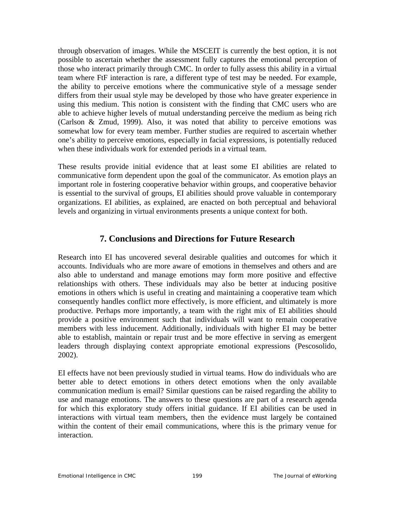through observation of images. While the MSCEIT is currently the best option, it is not possible to ascertain whether the assessment fully captures the emotional perception of those who interact primarily through CMC. In order to fully assess this ability in a virtual team where FtF interaction is rare, a different type of test may be needed. For example, the ability to perceive emotions where the communicative style of a message sender differs from their usual style may be developed by those who have greater experience in using this medium. This notion is consistent with the finding that CMC users who are able to achieve higher levels of mutual understanding perceive the medium as being rich (Carlson & Zmud, 1999). Also, it was noted that ability to perceive emotions was somewhat low for every team member. Further studies are required to ascertain whether one's ability to perceive emotions, especially in facial expressions, is potentially reduced when these individuals work for extended periods in a virtual team.

These results provide initial evidence that at least some EI abilities are related to communicative form dependent upon the goal of the communicator. As emotion plays an important role in fostering cooperative behavior within groups, and cooperative behavior is essential to the survival of groups, EI abilities should prove valuable in contemporary organizations. EI abilities, as explained, are enacted on both perceptual and behavioral levels and organizing in virtual environments presents a unique context for both.

# **7. Conclusions and Directions for Future Research**

Research into EI has uncovered several desirable qualities and outcomes for which it accounts. Individuals who are more aware of emotions in themselves and others and are also able to understand and manage emotions may form more positive and effective relationships with others. These individuals may also be better at inducing positive emotions in others which is useful in creating and maintaining a cooperative team which consequently handles conflict more effectively, is more efficient, and ultimately is more productive. Perhaps more importantly, a team with the right mix of EI abilities should provide a positive environment such that individuals will want to remain cooperative members with less inducement. Additionally, individuals with higher EI may be better able to establish, maintain or repair trust and be more effective in serving as emergent leaders through displaying context appropriate emotional expressions (Pescosolido, 2002).

EI effects have not been previously studied in virtual teams. How do individuals who are better able to detect emotions in others detect emotions when the only available communication medium is email? Similar questions can be raised regarding the ability to use and manage emotions. The answers to these questions are part of a research agenda for which this exploratory study offers initial guidance. If EI abilities can be used in interactions with virtual team members, then the evidence must largely be contained within the content of their email communications, where this is the primary venue for interaction.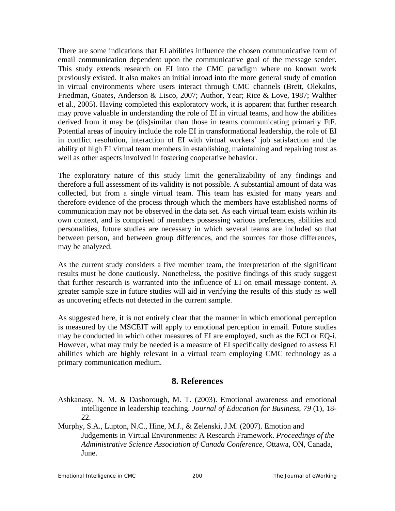There are some indications that EI abilities influence the chosen communicative form of email communication dependent upon the communicative goal of the message sender. This study extends research on EI into the CMC paradigm where no known work previously existed. It also makes an initial inroad into the more general study of emotion in virtual environments where users interact through CMC channels (Brett, Olekalns, Friedman, Goates, Anderson & Lisco, 2007; Author, Year; Rice & Love, 1987; Walther et al., 2005). Having completed this exploratory work, it is apparent that further research may prove valuable in understanding the role of EI in virtual teams, and how the abilities derived from it may be (dis)similar than those in teams communicating primarily FtF. Potential areas of inquiry include the role EI in transformational leadership, the role of EI in conflict resolution, interaction of EI with virtual workers' job satisfaction and the ability of high EI virtual team members in establishing, maintaining and repairing trust as well as other aspects involved in fostering cooperative behavior.

The exploratory nature of this study limit the generalizability of any findings and therefore a full assessment of its validity is not possible. A substantial amount of data was collected, but from a single virtual team. This team has existed for many years and therefore evidence of the process through which the members have established norms of communication may not be observed in the data set. As each virtual team exists within its own context, and is comprised of members possessing various preferences, abilities and personalities, future studies are necessary in which several teams are included so that between person, and between group differences, and the sources for those differences, may be analyzed.

As the current study considers a five member team, the interpretation of the significant results must be done cautiously. Nonetheless, the positive findings of this study suggest that further research is warranted into the influence of EI on email message content. A greater sample size in future studies will aid in verifying the results of this study as well as uncovering effects not detected in the current sample.

As suggested here, it is not entirely clear that the manner in which emotional perception is measured by the MSCEIT will apply to emotional perception in email. Future studies may be conducted in which other measures of EI are employed, such as the ECI or EQ-i. However, what may truly be needed is a measure of EI specifically designed to assess EI abilities which are highly relevant in a virtual team employing CMC technology as a primary communication medium.

## **8. References**

- Ashkanasy, N. M. & Dasborough, M. T. (2003). Emotional awareness and emotional intelligence in leadership teaching. *Journal of Education for Business*, *79* (1), 18- 22.
- Murphy, S.A., Lupton, N.C., Hine, M.J., & Zelenski, J.M. (2007). Emotion and Judgements in Virtual Environments: A Research Framework. *Proceedings of the Administrative Science Association of Canada Conference*, Ottawa, ON, Canada, June.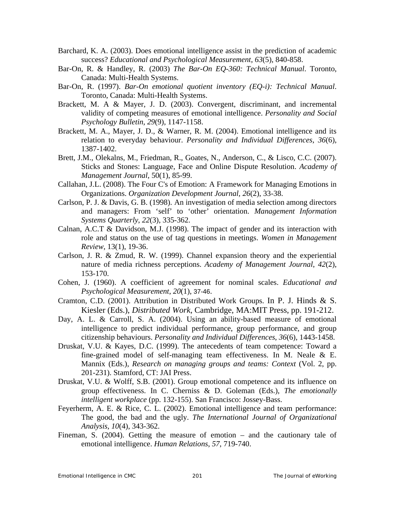- Barchard, K. A. (2003). Does emotional intelligence assist in the prediction of academic success? *Educational and Psychological Measurement*, *63*(5), 840-858.
- Bar-On, R. & Handley, R. (2003) *The Bar-On EQ-360: Technical Manual*. Toronto, Canada: Multi-Health Systems.
- Bar-On, R. (1997). *Bar-On emotional quotient inventory (EQ-i): Technical Manual*. Toronto, Canada: Multi-Health Systems.
- Brackett, M. A & Mayer, J. D. (2003). Convergent, discriminant, and incremental validity of competing measures of emotional intelligence. *Personality and Social Psychology Bulletin*, *29*(9), 1147-1158.
- Brackett, M. A., Mayer, J. D., & Warner, R. M. (2004). Emotional intelligence and its relation to everyday behaviour. *Personality and Individual Differences*, *36*(6), 1387-1402.
- Brett, J.M., Olekalns, M., Friedman, R., Goates, N., Anderson, C., & Lisco, C.C. (2007). Sticks and Stones: Language, Face and Online Dispute Resolution. *Academy of Management Journal*, 50(1), 85-99.
- Callahan, J.L. (2008). The Four C's of Emotion: A Framework for Managing Emotions in Organizations. *Organization Development Journal, 26*(2), 33-38.
- Carlson, P. J. & Davis, G. B. (1998). An investigation of media selection among directors and managers: From 'self' to 'other' orientation. *Management Information Systems Quarterly*, *22*(3), 335-362.
- Calnan, A.C.T & Davidson, M.J. (1998). The impact of gender and its interaction with role and status on the use of tag questions in meetings. *Women in Management Review*, 13(1), 19-36.
- Carlson, J. R. & Zmud, R. W. (1999). Channel expansion theory and the experiential nature of media richness perceptions. *Academy of Management Journal*, *42*(2), 153-170.
- Cohen, J. (1960). A coefficient of agreement for nominal scales. *Educational and Psychological Measurement*, *20*(1), 37-46.
- Cramton, C.D. (2001). Attribution in Distributed Work Groups. In P. J. Hinds & S. Kiesler (Eds.), *Distributed Work*, Cambridge, MA:MIT Press, pp. 191-212.
- Day, A. L. & Carroll, S. A. (2004). Using an ability-based measure of emotional intelligence to predict individual performance, group performance, and group citizenship behaviours. *Personality and Individual Differences*, *36*(6), 1443-1458.
- Druskat, V.U. & Kayes, D.C. (1999). The antecedents of team competence: Toward a fine-grained model of self-managing team effectiveness. In M. Neale & E. Mannix (Eds.), *Research on managing groups and teams: Context* (Vol. 2, pp. 201-231). Stamford, CT: JAI Press.
- Druskat, V.U. & Wolff, S.B. (2001). Group emotional competence and its influence on group effectiveness. In C. Cherniss & D. Goleman (Eds.), *The emotionally intelligent workplace* (pp. 132-155). San Francisco: Jossey-Bass.
- Feyerherm, A. E. & Rice, C. L. (2002). Emotional intelligence and team performance: The good, the bad and the ugly. *The International Journal of Organizational Analysis*, *10*(4), 343-362.
- Fineman, S. (2004). Getting the measure of emotion and the cautionary tale of emotional intelligence. *Human Relations*, *57*, 719-740.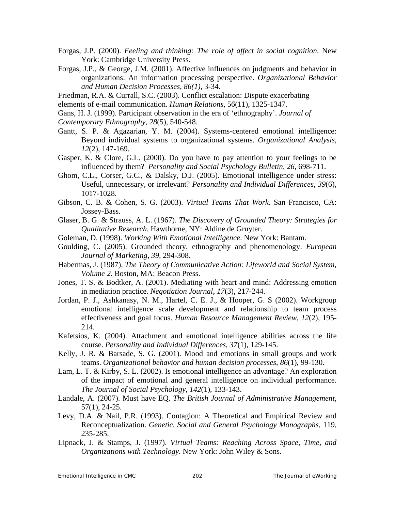- Forgas, J.P. (2000). *Feeling and thinking: The role of affect in social cognition*. New York: Cambridge University Press.
- Forgas, J.P., & George, J.M. (2001). Affective influences on judgments and behavior in organizations: An information processing perspective. *Organizational Behavior and Human Decision Processes, 86(1)*, 3-34.

Friedman, R.A. & Currall, S.C. (2003). Conflict escalation: Dispute exacerbating

elements of e-mail communication. *Human Relations*, 56(11), 1325-1347.

Gans, H. J. (1999). Participant observation in the era of 'ethnography'. *Journal of Contemporary Ethnography*, *28*(5), 540-548.

- Gantt, S. P. & Agazarian, Y. M. (2004). Systems-centered emotional intelligence: Beyond individual systems to organizational systems. *Organizational Analysis*, *12*(2), 147-169.
- Gasper, K. & Clore, G.L. (2000). Do you have to pay attention to your feelings to be influenced by them? *Personality and Social Psychology Bulletin, 26*, 698-711.
- Ghom, C.L., Corser, G.C., & Dalsky, D.J. (2005). Emotional intelligence under stress: Useful, unnecessary, or irrelevant? *Personality and Individual Differences*, *39*(6), 1017-1028.
- Gibson, C. B. & Cohen, S. G. (2003). *Virtual Teams That Work*. San Francisco, CA: Jossey-Bass.
- Glaser, B. G. & Strauss, A. L. (1967). *The Discovery of Grounded Theory: Strategies for Qualitative Research.* Hawthorne, NY: Aldine de Gruyter.
- Goleman, D. (1998). *Working With Emotional Intelligence*. New York: Bantam.
- Goulding, C. (2005). Grounded theory, ethnography and phenomenology. *European Journal of Marketing, 39,* 294-308.
- Habermas, J. (1987). *The Theory of Communicative Action: Lifeworld and Social System, Volume 2.* Boston, MA: Beacon Press.
- Jones, T. S. & Bodtker, A. (2001). Mediating with heart and mind: Addressing emotion in mediation practice. *Negotiation Journal*, *17*(3), 217-244.
- Jordan, P. J., Ashkanasy, N. M., Hartel, C. E. J., & Hooper, G. S (2002). Workgroup emotional intelligence scale development and relationship to team process effectiveness and goal focus. *Human Resource Management Review*, *12*(2), 195- 214.
- Kafetsios, K. (2004). Attachment and emotional intelligence abilities across the life course. *Personality and Individual Differences*, *37*(1), 129-145.
- Kelly, J. R. & Barsade, S. G. (2001). Mood and emotions in small groups and work teams. *Organizational behavior and human decision processes*, *86*(1), 99-130.
- Lam, L. T. & Kirby, S. L. (2002). Is emotional intelligence an advantage? An exploration of the impact of emotional and general intelligence on individual performance. *The Journal of Social Psychology*, *142*(1), 133-143.
- Landale, A. (2007). Must have EQ. *The British Journal of Administrative Management,* 57(1), 24-25.
- Levy, D.A. & Nail, P.R. (1993). Contagion: A Theoretical and Empirical Review and Reconceptualization. *Genetic, Social and General Psychology Monographs*, 119, 235-285.
- Lipnack, J. & Stamps, J. (1997). *Virtual Teams: Reaching Across Space, Time, and Organizations with Technology*. New York: John Wiley & Sons.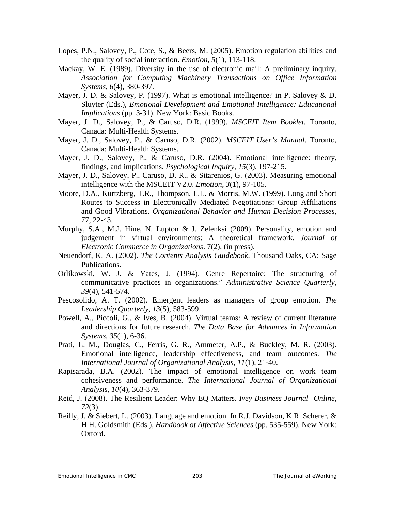- Lopes, P.N., Salovey, P., Cote, S., & Beers, M. (2005). Emotion regulation abilities and the quality of social interaction. *Emotion*, *5*(1), 113-118.
- Mackay, W. E. (1989). Diversity in the use of electronic mail: A preliminary inquiry. *Association for Computing Machinery Transactions on Office Information Systems*, *6*(4), 380-397.
- Mayer, J. D. & Salovey, P. (1997). What is emotional intelligence? in P. Salovey & D. Sluyter (Eds.), *Emotional Development and Emotional Intelligence: Educational Implications* (pp. 3-31). New York: Basic Books.
- Mayer, J. D., Salovey, P., & Caruso, D.R. (1999). *MSCEIT Item Booklet.* Toronto, Canada: Multi-Health Systems.
- Mayer, J. D., Salovey, P., & Caruso, D.R. (2002). *MSCEIT User's Manual*. Toronto, Canada: Multi-Health Systems.
- Mayer, J. D., Salovey, P., & Caruso, D.R. (2004). Emotional intelligence: theory, findings, and implications. *Psychological Inquiry*, *15*(3), 197-215.
- Mayer, J. D., Salovey, P., Caruso, D. R., & Sitarenios, G. (2003). Measuring emotional intelligence with the MSCEIT V2.0. *Emotion*, *3*(1), 97-105.
- Moore, D.A., Kurtzberg, T.R., Thompson, L.L. & Morris, M.W. (1999). Long and Short Routes to Success in Electronically Mediated Negotiations: Group Affiliations and Good Vibrations. *Organizational Behavior and Human Decision Processes*, 77, 22-43.
- Murphy, S.A., M.J. Hine, N. Lupton & J. Zelenksi (2009). Personality, emotion and judgement in virtual environments: A theoretical framework. *Journal of Electronic Commerce in Organizations*. 7(2), (in press).
- Neuendorf, K. A. (2002). *The Contents Analysis Guidebook*. Thousand Oaks, CA: Sage Publications.
- Orlikowski, W. J. & Yates, J. (1994). Genre Repertoire: The structuring of communicative practices in organizations." *Administrative Science Quarterly*, *39*(4), 541-574.
- Pescosolido, A. T. (2002). Emergent leaders as managers of group emotion. *The Leadership Quarterly*, *13*(5), 583-599.
- Powell, A., Piccoli, G., & Ives, B. (2004). Virtual teams: A review of current literature and directions for future research. *The Data Base for Advances in Information Systems*, *35*(1), 6-36.
- Prati, L. M., Douglas, C., Ferris, G. R., Ammeter, A.P., & Buckley, M. R. (2003). Emotional intelligence, leadership effectiveness, and team outcomes. *The International Journal of Organizational Analysis*, *11*(1), 21-40.
- Rapisarada, B.A. (2002). The impact of emotional intelligence on work team cohesiveness and performance. *The International Journal of Organizational Analysis, 10*(4), 363-379.
- Reid, J. (2008). The Resilient Leader: Why EQ Matters. *Ivey Business Journal Online, 72*(3).
- Reilly, J. & Siebert, L. (2003). Language and emotion. In R.J. Davidson, K.R. Scherer, & H.H. Goldsmith (Eds.), *Handbook of Affective Sciences* (pp. 535-559). New York: Oxford.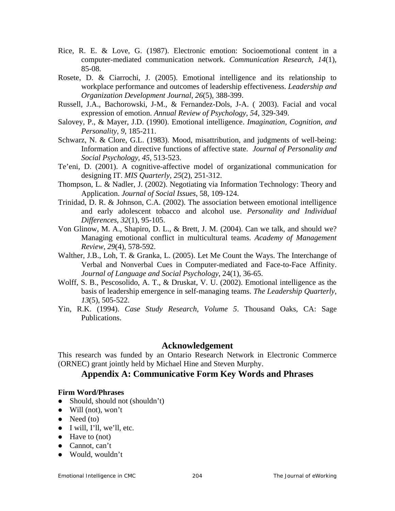- Rice, R. E. & Love, G. (1987). Electronic emotion: Socioemotional content in a computer-mediated communication network. *Communication Research*, *14*(1), 85-08.
- Rosete, D. & Ciarrochi, J. (2005). Emotional intelligence and its relationship to workplace performance and outcomes of leadership effectiveness. *Leadership and Organization Development Journal*, *26*(5), 388-399.
- Russell, J.A., Bachorowski, J-M., & Fernandez-Dols, J-A. ( 2003). Facial and vocal expression of emotion. *Annual Review of Psychology*, *54*, 329-349.
- Salovey, P., & Mayer, J.D. (1990). Emotional intelligence. *Imagination, Cognition, and Personality, 9*, 185-211.
- Schwarz, N. & Clore, G.L. (1983). Mood, misattribution, and judgments of well-being: Information and directive functions of affective state. *Journal of Personality and Social Psychology*, *45*, 513-523.
- Te'eni, D. (2001). A cognitive-affective model of organizational communication for designing IT. *MIS Quarterly*, *25*(2), 251-312.
- Thompson, L. & Nadler, J. (2002). Negotiating via Information Technology: Theory and Application. *Journal of Social Issues*, 58, 109-124.
- Trinidad, D. R. & Johnson, C.A. (2002). The association between emotional intelligence and early adolescent tobacco and alcohol use. *Personality and Individual Differences*, *32*(1), 95-105.
- Von Glinow, M. A., Shapiro, D. L., & Brett, J. M. (2004). Can we talk, and should we? Managing emotional conflict in multicultural teams. *Academy of Management Review*, *29*(4), 578-592.
- Walther, J.B., Loh, T. & Granka, L. (2005). Let Me Count the Ways. The Interchange of Verbal and Nonverbal Cues in Computer-mediated and Face-to-Face Affinity. *Journal of Language and Social Psychology*, 24(1), 36-65.
- Wolff, S. B., Pescosolido, A. T., & Druskat, V. U. (2002). Emotional intelligence as the basis of leadership emergence in self-managing teams. *The Leadership Quarterly*, *13*(5), 505-522.
- Yin, R.K. (1994). *Case Study Research, Volume 5*. Thousand Oaks, CA: Sage Publications.

### **Acknowledgement**

This research was funded by an Ontario Research Network in Electronic Commerce (ORNEC) grant jointly held by Michael Hine and Steven Murphy.

## **Appendix A: Communicative Form Key Words and Phrases**

#### **Firm Word/Phrases**

- Should, should not (shouldn't)
- $\bullet$  Will (not), won't
- $\bullet$  Need (to)
- $\bullet$  I will, I'll, we'll, etc.
- Have to (not)
- Cannot, can't
- Would, wouldn't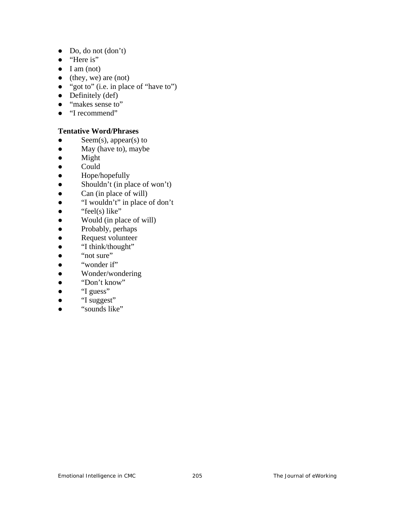- $\bullet$  Do, do not  $(don't)$
- "Here is"
- $\bullet$  I am (not)
- (they, we) are (not)
- "got to" (i.e. in place of "have to")
- $\bullet$  Definitely (def)
- "makes sense to"
- "I recommend"

### **Tentative Word/Phrases**

- Seem(s), appear(s) to
- May (have to), maybe
- Might
- Could
- Hope/hopefully
- $\bullet$  Shouldn't (in place of won't)
- Can (in place of will)
- "I wouldn't" in place of don't
- $\bullet$  "feel(s) like"
- Would (in place of will)
- Probably, perhaps
- Request volunteer
- "I think/thought"
- "not sure"
- "wonder if"
- Wonder/wondering
- "Don't know"
- "I guess"
- "I suggest"
- "sounds like"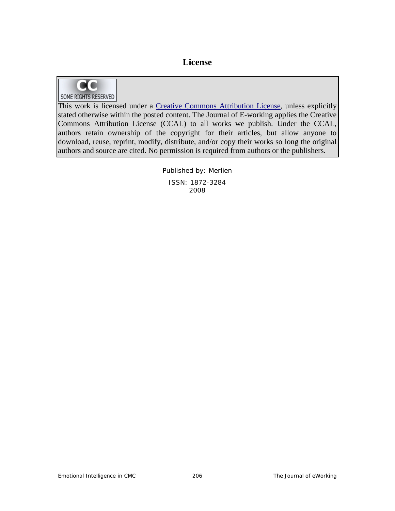## **License**



This work is licensed under a Creative Commons Attribution License, unless explicitly stated otherwise within the posted content. The Journal of E-working applies the Creative Commons Attribution License (CCAL) to all works we publish. Under the CCAL, authors retain ownership of the copyright for their articles, but allow anyone to download, reuse, reprint, modify, distribute, and/or copy their works so long the original

> Published by: Merlien ISSN: 1872-3284 2008

authors and source are cited. No permission is required from authors or the publishers.